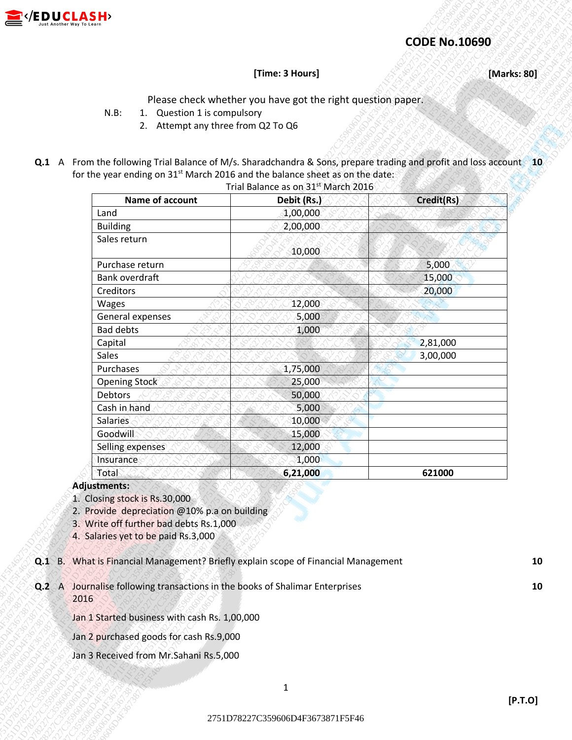

### **CODE No.10690**

#### **[Time: 3 Hours] [Marks: 80]**

- N.B: 1. Question 1 is compulsory
	- 2. Attempt any three from Q2 To Q6
- **Q.1** A From the following Trial Balance of M/s. Sharadchandra & Sons, prepare trading and profit and loss account **10** for the year ending on 31<sup>st</sup> March 2016 and the balance sheet as on the date:

|              |                                                                                                                                                                 |                                                                                                                                                                                    | <b>CODE No.10690</b> |             |
|--------------|-----------------------------------------------------------------------------------------------------------------------------------------------------------------|------------------------------------------------------------------------------------------------------------------------------------------------------------------------------------|----------------------|-------------|
|              |                                                                                                                                                                 | [Time: 3 Hours]                                                                                                                                                                    |                      | [Marks: 80] |
|              | 1. Question 1 is compulsory<br>$N.B$ :<br>2. Attempt any three from Q2 To Q6                                                                                    | Please check whether you have got the right question paper.<br>Q.1 A From the following Trial Balance of M/s. Sharadchandra & Sons, prepare trading and profit and loss account 10 |                      |             |
|              |                                                                                                                                                                 | for the year ending on 31 <sup>st</sup> March 2016 and the balance sheet as on the date:<br>Trial Balance as on 31st March 2016                                                    |                      |             |
|              | Name of account                                                                                                                                                 | Debit (Rs.)                                                                                                                                                                        | Credit(Rs)           |             |
|              | Land                                                                                                                                                            | 1,00,000                                                                                                                                                                           |                      |             |
|              | <b>Building</b>                                                                                                                                                 | 2,00,000                                                                                                                                                                           |                      |             |
|              | Sales return                                                                                                                                                    |                                                                                                                                                                                    |                      |             |
|              |                                                                                                                                                                 | 10,000                                                                                                                                                                             |                      |             |
|              | Purchase return                                                                                                                                                 |                                                                                                                                                                                    | 5,000                |             |
|              | Bank overdraft                                                                                                                                                  |                                                                                                                                                                                    | 15,000               |             |
|              | Creditors                                                                                                                                                       |                                                                                                                                                                                    | 20,000               |             |
|              | Wages                                                                                                                                                           | 12,000                                                                                                                                                                             |                      |             |
|              | General expenses                                                                                                                                                | 5,000                                                                                                                                                                              |                      |             |
|              | <b>Bad debts</b>                                                                                                                                                | 1,000                                                                                                                                                                              |                      |             |
|              | Capital                                                                                                                                                         |                                                                                                                                                                                    | 2,81,000             |             |
|              | Sales                                                                                                                                                           |                                                                                                                                                                                    | 3,00,000             |             |
|              | Purchases                                                                                                                                                       | 1,75,000                                                                                                                                                                           |                      |             |
|              | <b>Opening Stock</b>                                                                                                                                            | 25,000                                                                                                                                                                             |                      |             |
|              | Debtors                                                                                                                                                         | 50,000                                                                                                                                                                             |                      |             |
|              | Cash in hand                                                                                                                                                    | 5,000                                                                                                                                                                              |                      |             |
|              | Salaries<br>Goodwill                                                                                                                                            | 10,000<br>15,000                                                                                                                                                                   |                      |             |
|              | Selling expenses                                                                                                                                                | 12,000                                                                                                                                                                             |                      |             |
|              | Insurance                                                                                                                                                       | 1,000                                                                                                                                                                              |                      |             |
|              | Total                                                                                                                                                           | 6,21,000                                                                                                                                                                           | 621000               |             |
|              | Adjustments:                                                                                                                                                    |                                                                                                                                                                                    |                      |             |
|              | 1. Closing stock is Rs.30,000<br>2. Provide depreciation @10% p.a on building<br>3. Write off further bad debts Rs.1,000<br>4. Salaries yet to be paid Rs.3,000 |                                                                                                                                                                                    |                      |             |
| $Q.2 \cap A$ |                                                                                                                                                                 | Q.1 B. What is Financial Management? Briefly explain scope of Financial Management<br>Journalise following transactions in the books of Shalimar Enterprises                       |                      | 10<br>10    |
|              | 2016                                                                                                                                                            |                                                                                                                                                                                    |                      |             |
|              | Jan 1 Started business with cash Rs. 1,00,000                                                                                                                   |                                                                                                                                                                                    |                      |             |
|              | Jan 2 purchased goods for cash Rs.9,000                                                                                                                         |                                                                                                                                                                                    |                      |             |
|              | Jan 3 Received from Mr. Sahani Rs. 5,000                                                                                                                        |                                                                                                                                                                                    |                      |             |
|              |                                                                                                                                                                 | $\mathbf{1}$                                                                                                                                                                       |                      |             |
|              |                                                                                                                                                                 |                                                                                                                                                                                    |                      | [P.T.O]     |

#### **Adjustments:**

- 1. Closing stock is Rs.30,000
- 2. Provide depreciation @10% p.a on building
- 3. Write off further bad debts Rs.1,000
- 4. Salaries yet to be paid Rs.3,000
- **Q.1** B. What is Financial Management? Briefly explain scope of Financial Management **10**
- **Q.2** A Journalise following transactions in the books of Shalimar Enterprises **10** 2016

- Jan 2 purchased goods for cash Rs.9,000
- Jan 3 Received from Mr.Sahani Rs.5,000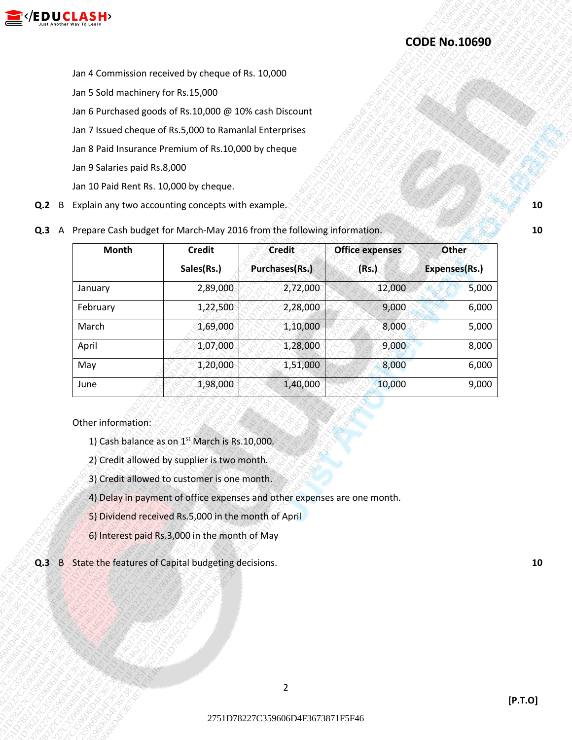

- Jan 6 Purchased goods of Rs.10,000 @ 10% cash Discount
- Jan 7 Issued cheque of Rs.5,000 to Ramanlal Enterprises
- Jan 8 Paid Insurance Premium of Rs.10,000 by cheque
- Jan 9 Salaries paid Rs.8,000
- Jan 10 Paid Rent Rs. 10,000 by cheque.
- **Q.2** B Explain any two accounting concepts with example. **10** and the set of the set of the set of the set of the set of the set of the set of the set of the set of the set of the set of the set of the set of the set of t
- **Q.3** A Prepare Cash budget for March-May 2016 from the following information.

|                                        |                                                                                                                                                         |                                  |                        | <b>CODE No.10690</b> |  |  |  |
|----------------------------------------|---------------------------------------------------------------------------------------------------------------------------------------------------------|----------------------------------|------------------------|----------------------|--|--|--|
|                                        |                                                                                                                                                         |                                  |                        |                      |  |  |  |
|                                        | Jan 4 Commission received by cheque of Rs. 10,000<br>Jan 5 Sold machinery for Rs.15,000                                                                 |                                  |                        |                      |  |  |  |
|                                        | Jan 6 Purchased goods of Rs.10,000 @ 10% cash Discount                                                                                                  |                                  |                        |                      |  |  |  |
|                                        | Jan 7 Issued cheque of Rs.5,000 to Ramanlal Enterprises                                                                                                 |                                  |                        |                      |  |  |  |
|                                        | Jan 8 Paid Insurance Premium of Rs.10,000 by cheque                                                                                                     |                                  |                        |                      |  |  |  |
| Jan 9 Salaries paid Rs.8,000           |                                                                                                                                                         |                                  |                        |                      |  |  |  |
| Jan 10 Paid Rent Rs. 10,000 by cheque. |                                                                                                                                                         |                                  |                        |                      |  |  |  |
| B                                      | Explain any two accounting concepts with example.                                                                                                       |                                  |                        |                      |  |  |  |
| Q.2<br>Q.3                             |                                                                                                                                                         |                                  |                        |                      |  |  |  |
| A                                      | Prepare Cash budget for March-May 2016 from the following information.                                                                                  |                                  |                        |                      |  |  |  |
| <b>Month</b>                           | <b>Credit</b>                                                                                                                                           | <b>Credit</b>                    | <b>Office expenses</b> | <b>Other</b>         |  |  |  |
|                                        | Sales(Rs.)                                                                                                                                              | Purchases(Rs.)                   | (Rs.)                  | <b>Expenses(Rs.)</b> |  |  |  |
| January                                | 2,89,000                                                                                                                                                | 2,72,000                         | 12,000                 | 5,000                |  |  |  |
| February                               | 1,22,500                                                                                                                                                | 2,28,000                         | 9,000                  | 6,000                |  |  |  |
| March                                  | 1,69,000                                                                                                                                                | 1,10,000                         | 8,000                  | 5,000                |  |  |  |
| April                                  | 1,07,000                                                                                                                                                | 1,28,000                         | 9,000                  | 8,000                |  |  |  |
| May<br>June                            | 1,20,000<br>1,98,000                                                                                                                                    | 1,51,000<br>1,40,000             | 8,000<br>10,000        | 6,000<br>9,000       |  |  |  |
| Other information:                     |                                                                                                                                                         |                                  |                        |                      |  |  |  |
|                                        | 1) Cash balance as on 1 <sup>st</sup> March is Rs.10,000.<br>2) Credit allowed by supplier is two month.<br>3) Credit allowed to customer is one month. |                                  |                        |                      |  |  |  |
|                                        | 4) Delay in payment of office expenses and other expenses are one month.                                                                                |                                  |                        |                      |  |  |  |
|                                        | 5) Dividend received Rs.5,000 in the month of April                                                                                                     |                                  |                        |                      |  |  |  |
|                                        | 6) Interest paid Rs.3,000 in the month of May                                                                                                           |                                  |                        |                      |  |  |  |
| $\overline{\mathbf{B}}$<br>Q.3         | State the features of Capital budgeting decisions.                                                                                                      |                                  |                        |                      |  |  |  |
|                                        |                                                                                                                                                         |                                  |                        |                      |  |  |  |
|                                        |                                                                                                                                                         | $\overline{2}$                   |                        |                      |  |  |  |
|                                        |                                                                                                                                                         | 2751D78227C359606D4F3673871F5F46 |                        |                      |  |  |  |

#### Other information:

- 1) Cash balance as on  $1<sup>st</sup>$  March is Rs.10,000.
- 2) Credit allowed by supplier is two month.
- 3) Credit allowed to customer is one month.
- 4) Delay in payment of office expenses and other expenses are one month.
- 5) Dividend received Rs.5,000 in the month of April
- 6) Interest paid Rs.3,000 in the month of May
- **Q.3** B State the features of Capital budgeting decisions. **10**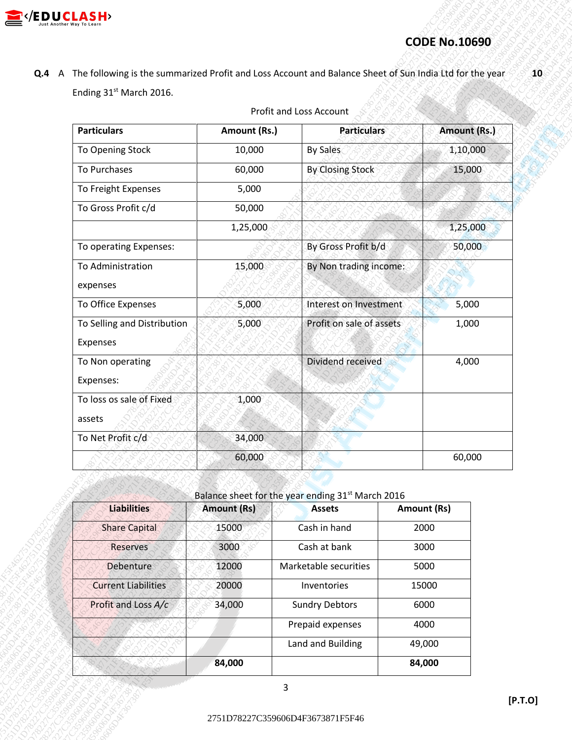

# **CODE No.10690**

| Ending 31st March 2016.                                             |                    |                                                                    | Q.4 A The following is the summarized Profit and Loss Account and Balance Sheet of Sun India Ltd for the year |              |
|---------------------------------------------------------------------|--------------------|--------------------------------------------------------------------|---------------------------------------------------------------------------------------------------------------|--------------|
|                                                                     |                    | Profit and Loss Account                                            |                                                                                                               |              |
| <b>Particulars</b>                                                  | Amount (Rs.)       | <b>Particulars</b>                                                 |                                                                                                               | Amount (Rs.) |
| To Opening Stock                                                    | 10,000             | <b>By Sales</b>                                                    |                                                                                                               | 1,10,000     |
| To Purchases                                                        | 60,000             | <b>By Closing Stock</b>                                            |                                                                                                               | 15,000       |
| To Freight Expenses                                                 | 5,000              |                                                                    |                                                                                                               |              |
| To Gross Profit c/d                                                 | 50,000             |                                                                    |                                                                                                               |              |
|                                                                     | 1,25,000           |                                                                    |                                                                                                               | 1,25,000     |
| To operating Expenses:                                              |                    | By Gross Profit b/d                                                |                                                                                                               | 50,000       |
| To Administration                                                   | 15,000             | By Non trading income:                                             |                                                                                                               |              |
| expenses                                                            |                    |                                                                    |                                                                                                               |              |
| To Office Expenses                                                  | 5,000              | Interest on Investment                                             |                                                                                                               | 5,000        |
| To Selling and Distribution<br>Expenses                             | 5,000              | Profit on sale of assets                                           |                                                                                                               | 1,000        |
| To Non operating<br>Expenses:<br>To loss os sale of Fixed<br>assets | 1,000              | Dividend received                                                  |                                                                                                               | 4,000        |
| To Net Profit c/d                                                   | 34,000             |                                                                    |                                                                                                               |              |
|                                                                     | 60,000             |                                                                    |                                                                                                               | 60,000       |
| <b>Liabilities</b>                                                  | <b>Amount (Rs)</b> | Balance sheet for the year ending 31st March 2016<br><b>Assets</b> | Amount (Rs)                                                                                                   |              |
| <b>Share Capital</b>                                                | 15000              | Cash in hand                                                       | 2000                                                                                                          |              |
| Reserves                                                            | 3000               | Cash at bank                                                       | 3000                                                                                                          |              |
| <b>Debenture</b>                                                    | 12000              | Marketable securities                                              | 5000                                                                                                          |              |
| <b>Current Liabilities</b>                                          | 20000              | Inventories                                                        | 15000                                                                                                         |              |
| Profit and Loss A/c                                                 | 34,000             | <b>Sundry Debtors</b>                                              | 6000                                                                                                          |              |
|                                                                     |                    | Prepaid expenses                                                   | 4000                                                                                                          |              |
|                                                                     |                    | Land and Building                                                  | 49,000                                                                                                        |              |
|                                                                     | 84,000             |                                                                    | 84,000                                                                                                        |              |

## Profit and Loss Account

| <b>Liabilities</b>         | <b>Amount (Rs)</b> | <b>Assets</b>         | Amount (Rs) |  |
|----------------------------|--------------------|-----------------------|-------------|--|
| <b>Share Capital</b>       | 15000              | Cash in hand          | 2000        |  |
| <b>Reserves</b>            | 3000               | Cash at bank          | 3000        |  |
| <b>Debenture</b>           | 12000              | Marketable securities | 5000        |  |
| <b>Current Liabilities</b> | 20000              | Inventories           | 15000       |  |
| Profit and Loss A/c        | 34,000             | <b>Sundry Debtors</b> | 6000        |  |
|                            |                    | Prepaid expenses      | 4000        |  |
|                            |                    | Land and Building     | 49,000      |  |
|                            | 84,000             |                       | 84,000      |  |